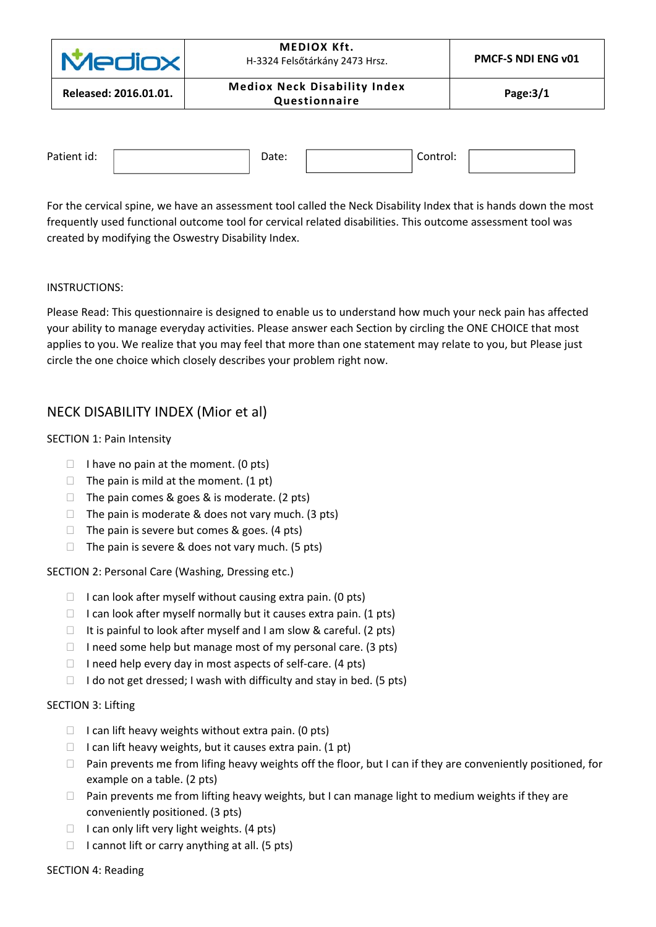| <b>Mediox</b>         | <b>MEDIOX Kft.</b><br>H-3324 Felsőtárkány 2473 Hrsz. | <b>PMCF-S NDI ENG v01</b> |  |
|-----------------------|------------------------------------------------------|---------------------------|--|
| Released: 2016.01.01. | <b>Mediox Neck Disability Index</b><br>Questionnaire | Page: $3/1$               |  |
|                       |                                                      |                           |  |

| Patient id: | Date: | Control: |  |
|-------------|-------|----------|--|
|             |       |          |  |

For the cervical spine, we have an assessment tool called the Neck Disability Index that is hands down the most frequently used functional outcome tool for cervical related disabilities. This outcome assessment tool was created by modifying the Oswestry Disability Index.

### INSTRUCTIONS:

Please Read: This questionnaire is designed to enable us to understand how much your neck pain has affected your ability to manage everyday activities. Please answer each Section by circling the ONE CHOICE that most applies to you. We realize that you may feel that more than one statement may relate to you, but Please just circle the one choice which closely describes your problem right now.

# NECK DISABILITY INDEX (Mior et al)

### SECTION 1: Pain Intensity

- $\Box$  I have no pain at the moment. (0 pts)
- $\Box$  The pain is mild at the moment. (1 pt)
- $\Box$  The pain comes & goes & is moderate. (2 pts)
- $\Box$  The pain is moderate & does not vary much. (3 pts)
- $\Box$  The pain is severe but comes & goes. (4 pts)
- $\Box$  The pain is severe & does not vary much. (5 pts)

SECTION 2: Personal Care (Washing, Dressing etc.)

- $\Box$  I can look after myself without causing extra pain. (0 pts)
- $\Box$  I can look after myself normally but it causes extra pain. (1 pts)
- $\Box$  It is painful to look after myself and I am slow & careful. (2 pts)
- $\Box$  I need some help but manage most of my personal care. (3 pts)
- $\Box$  I need help every day in most aspects of self-care. (4 pts)
- $\Box$  I do not get dressed; I wash with difficulty and stay in bed. (5 pts)

## SECTION 3: Lifting

- $\Box$  I can lift heavy weights without extra pain. (0 pts)
- $\Box$  I can lift heavy weights, but it causes extra pain. (1 pt)
- □ Pain prevents me from lifing heavy weights off the floor, but I can if they are conveniently positioned, for example on a table. (2 pts)
- $\Box$  Pain prevents me from lifting heavy weights, but I can manage light to medium weights if they are conveniently positioned. (3 pts)
- $\Box$  I can only lift very light weights. (4 pts)
- $\Box$  I cannot lift or carry anything at all. (5 pts)

### SECTION 4: Reading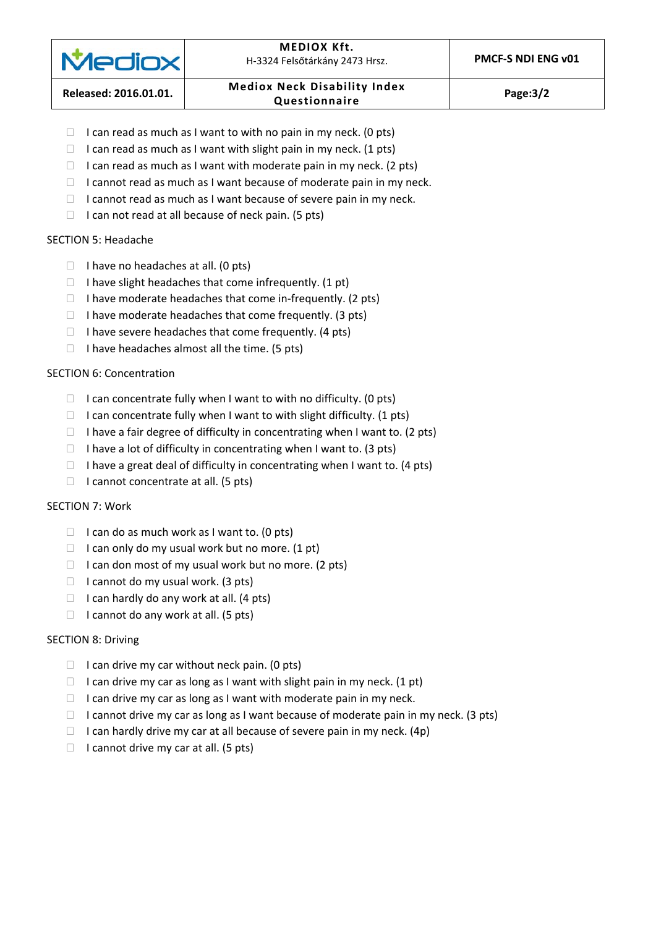

#### **MEDIOX Kft.**  H‐3324 Felsőtárkány 2473 Hrsz. **PMCF‐S NDI ENG v01**

# **Released: 2016.01.01. Mediox Neck Disability Index Questionnaire Page:3/2**

- $\Box$  I can read as much as I want to with no pain in my neck. (0 pts)
- $\Box$  I can read as much as I want with slight pain in my neck. (1 pts)
- $\Box$  I can read as much as I want with moderate pain in my neck. (2 pts)
- $\Box$  I cannot read as much as I want because of moderate pain in my neck.
- $\Box$  I cannot read as much as I want because of severe pain in my neck.
- $\Box$  I can not read at all because of neck pain. (5 pts)

## SECTION 5: Headache

- $\Box$  I have no headaches at all. (0 pts)
- $\Box$  I have slight headaches that come infrequently. (1 pt)
- $\Box$  I have moderate headaches that come in-frequently. (2 pts)
- $\Box$  I have moderate headaches that come frequently. (3 pts)
- $\Box$  I have severe headaches that come frequently. (4 pts)
- $\Box$  I have headaches almost all the time. (5 pts)

## SECTION 6: Concentration

- $\Box$  I can concentrate fully when I want to with no difficulty. (0 pts)
- $\Box$  I can concentrate fully when I want to with slight difficulty. (1 pts)
- $\Box$  I have a fair degree of difficulty in concentrating when I want to. (2 pts)
- $\Box$  I have a lot of difficulty in concentrating when I want to. (3 pts)
- $\Box$  I have a great deal of difficulty in concentrating when I want to. (4 pts)
- $\Box$  I cannot concentrate at all. (5 pts)

## SECTION 7: Work

- $\Box$  I can do as much work as I want to. (0 pts)
- $\Box$  I can only do my usual work but no more. (1 pt)
- $\Box$  I can don most of my usual work but no more. (2 pts)
- $\Box$  I cannot do my usual work. (3 pts)
- $\Box$  I can hardly do any work at all. (4 pts)
- $\Box$  I cannot do any work at all. (5 pts)

## SECTION 8: Driving

- $\Box$  I can drive my car without neck pain. (0 pts)
- $\Box$  I can drive my car as long as I want with slight pain in my neck. (1 pt)
- $\Box$  I can drive my car as long as I want with moderate pain in my neck.
- $\Box$  I cannot drive my car as long as I want because of moderate pain in my neck. (3 pts)
- $\Box$  I can hardly drive my car at all because of severe pain in my neck. (4p)
- $\Box$  I cannot drive my car at all. (5 pts)